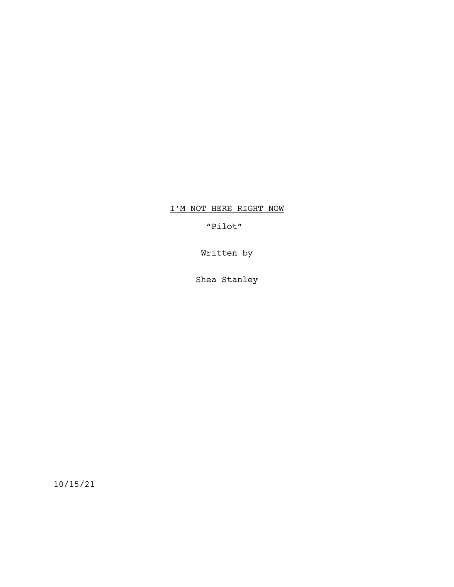I'M NOT HERE RIGHT NOW

"Pilot"

Written by

Shea Stanley

10/15/21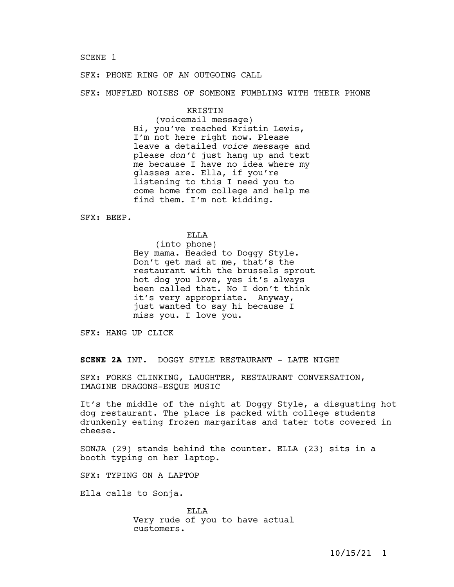SCENE 1

SFX: PHONE RING OF AN OUTGOING CALL

SFX: MUFFLED NOISES OF SOMEONE FUMBLING WITH THEIR PHONE

#### KRISTIN

(voicemail message) Hi, you've reached Kristin Lewis, I'm not here right now. Please leave a detailed *voice m*essage and please *don't* just hang up and text me because I have no idea where my glasses are. Ella, if you're listening to this I need you to come home from college and help me find them. I'm not kidding.

SFX: BEEP.

#### ELLA

(into phone) Hey mama. Headed to Doggy Style. Don't get mad at me, that's the restaurant with the brussels sprout hot dog you love, yes it's always been called that. No I don't think it's very appropriate. Anyway, just wanted to say hi because I miss you. I love you.

SFX: HANG UP CLICK

**SCENE 2A** INT. DOGGY STYLE RESTAURANT - LATE NIGHT

SFX: FORKS CLINKING, LAUGHTER, RESTAURANT CONVERSATION, IMAGINE DRAGONS-ESQUE MUSIC

It's the middle of the night at Doggy Style, a disgusting hot dog restaurant. The place is packed with college students drunkenly eating frozen margaritas and tater tots covered in cheese.

SONJA (29) stands behind the counter. ELLA (23) sits in a booth typing on her laptop.

SFX: TYPING ON A LAPTOP

Ella calls to Sonja.

ELLA Very rude of you to have actual customers.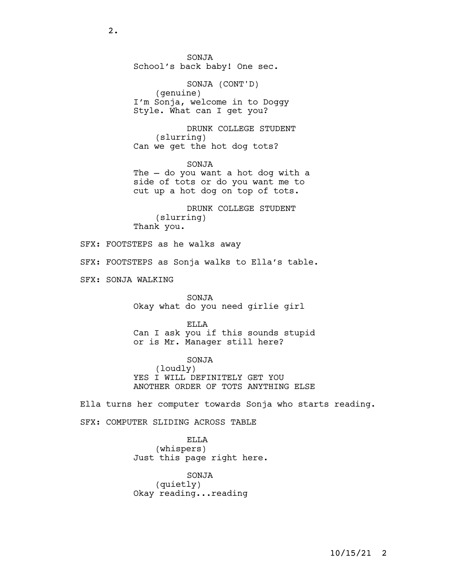SONJA School's back baby! One sec.

SONJA (CONT'D) (genuine) I'm Sonja, welcome in to Doggy Style. What can I get you?

DRUNK COLLEGE STUDENT (slurring) Can we get the hot dog tots?

SONJA The — do you want a hot dog with a side of tots or do you want me to cut up a hot dog on top of tots.

DRUNK COLLEGE STUDENT (slurring) Thank you.

SFX: FOOTSTEPS as he walks away

SFX: FOOTSTEPS as Sonja walks to Ella's table.

SFX: SONJA WALKING

SONJA Okay what do you need girlie girl

ELLA Can I ask you if this sounds stupid or is Mr. Manager still here?

SONJA (loudly) YES I WILL DEFINITELY GET YOU ANOTHER ORDER OF TOTS ANYTHING ELSE

Ella turns her computer towards Sonja who starts reading.

SFX: COMPUTER SLIDING ACROSS TABLE

ELLA (whispers) Just this page right here.

SONJA (quietly) Okay reading...reading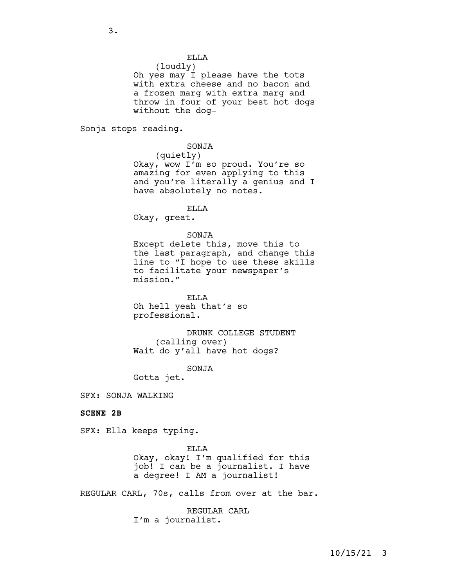## ELLA

(loudly)

Oh yes may I please have the tots with extra cheese and no bacon and a frozen marg with extra marg and throw in four of your best hot dogs without the dog-

Sonja stops reading.

SONJA

(quietly) Okay, wow I'm so proud. You're so amazing for even applying to this and you're literally a genius and I have absolutely no notes.

ELLA

Okay, great.

### SONJA

Except delete this, move this to the last paragraph, and change this line to "I hope to use these skills to facilitate your newspaper's mission."

ELLA Oh hell yeah that's so professional.

DRUNK COLLEGE STUDENT (calling over) Wait do y'all have hot dogs?

### SONJA

Gotta jet.

SFX: SONJA WALKING

#### **SCENE 2B**

SFX: Ella keeps typing.

#### ELLA

Okay, okay! I'm qualified for this job! I can be a journalist. I have a degree! I AM a journalist!

REGULAR CARL, 70s, calls from over at the bar.

REGULAR CARL I'm a journalist.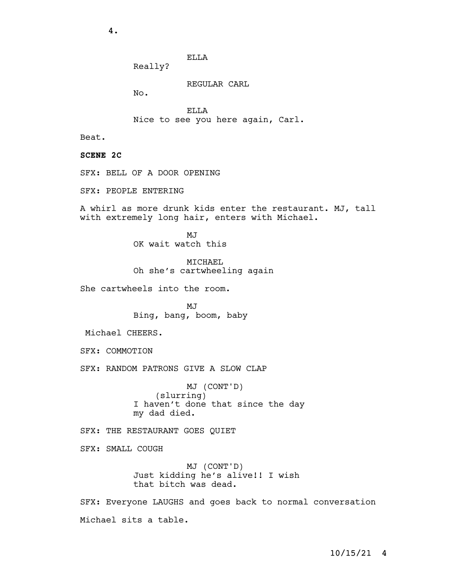4.

## ELLA

Really?

REGULAR CARL

No.

ELLA Nice to see you here again, Carl.

Beat.

**SCENE 2C**

SFX: BELL OF A DOOR OPENING

SFX: PEOPLE ENTERING

A whirl as more drunk kids enter the restaurant. MJ, tall with extremely long hair, enters with Michael.

> MJ<sub>D</sub> OK wait watch this

MICHAEL Oh she's cartwheeling again

She cartwheels into the room.

MJ<sub>D</sub> Bing, bang, boom, baby

Michael CHEERS.

SFX: COMMOTION

SFX: RANDOM PATRONS GIVE A SLOW CLAP

MJ (CONT'D) (slurring) I haven't done that since the day my dad died.

SFX: THE RESTAURANT GOES QUIET

SFX: SMALL COUGH

MJ (CONT'D) Just kidding he's alive!! I wish that bitch was dead.

SFX: Everyone LAUGHS and goes back to normal conversation Michael sits a table.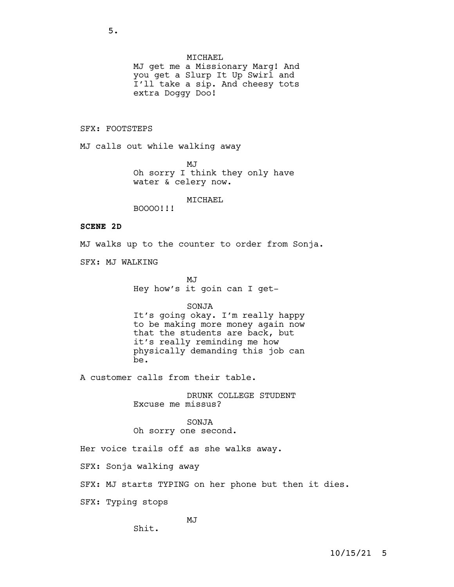MICHAEL

MJ get me a Missionary Marg! And you get a Slurp It Up Swirl and I'll take a sip. And cheesy tots extra Doggy Doo!

SFX: FOOTSTEPS

MJ calls out while walking away

MJ Oh sorry I think they only have water & celery now.

MICHAEL

BOOOO!!!

## **SCENE 2D**

MJ walks up to the counter to order from Sonja.

SFX: MJ WALKING

MJ Hey how's it goin can I get–

SONJA

It's going okay. I'm really happy to be making more money again now that the students are back, but it's really reminding me how physically demanding this job can be.

A customer calls from their table.

DRUNK COLLEGE STUDENT Excuse me missus?

SONJA Oh sorry one second.

Her voice trails off as she walks away.

SFX: Sonja walking away

Shit.

SFX: MJ starts TYPING on her phone but then it dies.

SFX: Typing stops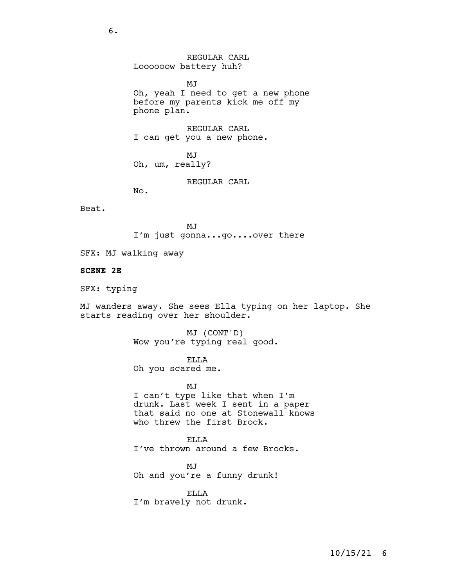REGULAR CARL Loooooow battery huh?

MJ Oh, yeah I need to get a new phone before my parents kick me off my phone plan.

REGULAR CARL I can get you a new phone.

MJ Oh, um, really?

REGULAR CARL

No.

Beat.

MJ I'm just gonna...go....over there

SFX: MJ walking away

### **SCENE 2E**

SFX: typing

MJ wanders away. She sees Ella typing on her laptop. She starts reading over her shoulder.

> MJ (CONT'D) Wow you're typing real good.

> > ELLA

Oh you scared me.

MJ I can't type like that when I'm drunk. Last week I sent in a paper that said no one at Stonewall knows who threw the first Brock.

ELLA I've thrown around a few Brocks.

MJ Oh and you're a funny drunk!

ELLA I'm bravely not drunk.

6.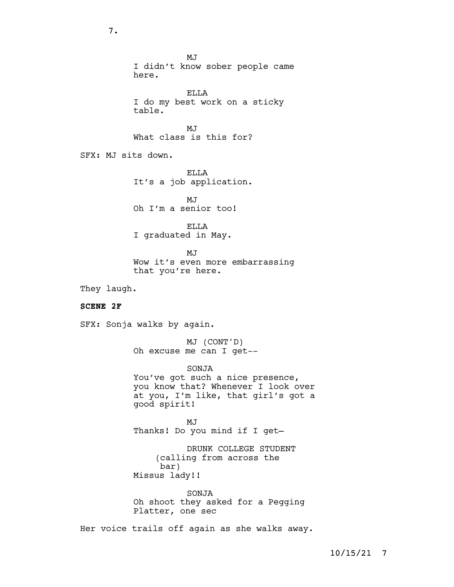MJ I didn't know sober people came here. ELLA I do my best work on a sticky table. MJ<sub>D</sub> What class is this for? SFX: MJ sits down. ELLA It's a job application. MJ Oh I'm a senior too! ELLA I graduated in May. MJ Wow it's even more embarrassing that you're here. They laugh. **SCENE 2F** SFX: Sonja walks by again. MJ (CONT'D) Oh excuse me can I get–– SONJA You've got such a nice presence, you know that? Whenever I look over at you, I'm like, that girl's got a good spirit! MJ Thanks! Do you mind if I get— DRUNK COLLEGE STUDENT (calling from across the bar) Missus lady!! SONJA Oh shoot they asked for a Pegging Platter, one sec Her voice trails off again as she walks away.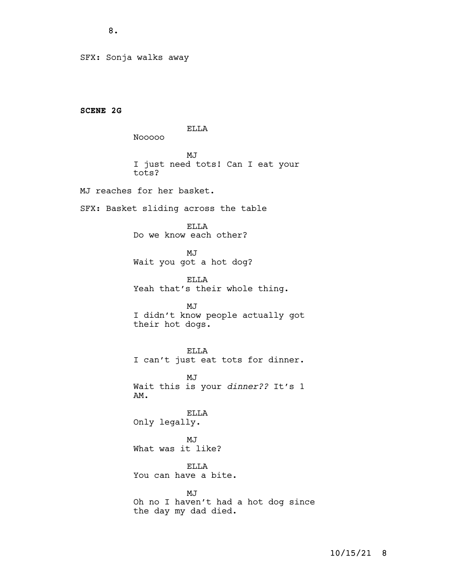SFX: Sonja walks away

**SCENE 2G**

## ELLA

Nooooo

MJ I just need tots! Can I eat your tots?

MJ reaches for her basket.

SFX: Basket sliding across the table

ELLA Do we know each other?

MJ Wait you got a hot dog?

ELLA Yeah that's their whole thing.

MJ I didn't know people actually got their hot dogs.

ELLA I can't just eat tots for dinner.

MJ Wait this is your *dinner??* It's 1 AM.

ELLA Only legally.

MJ What was it like?

ELLA You can have a bite.

MJ Oh no I haven't had a hot dog since the day my dad died.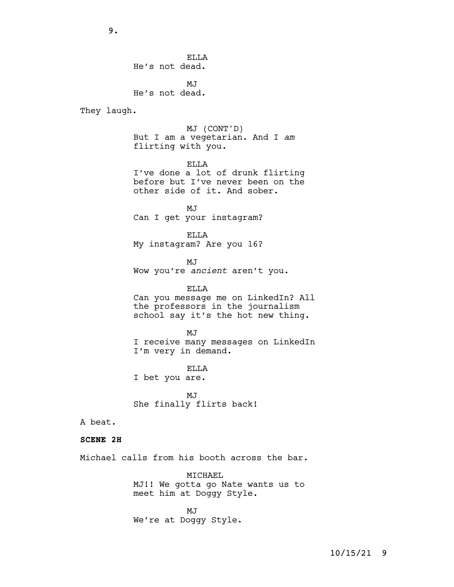ELLA He's not dead.

MJ He's not dead.

They laugh.

MJ (CONT'D) But I am a vegetarian. And I *am* flirting with you.

ELLA I've done a lot of drunk flirting before but I've never been on the other side of it. And sober.

MJ Can I get your instagram?

ELLA My instagram? Are you 16?

MJ Wow you're *ancient* aren't you.

ELLA Can you message me on LinkedIn? All the professors in the journalism school say it's the hot new thing.

MJ I receive many messages on LinkedIn I'm very in demand.

ELLA I bet you are.

MJ She finally flirts back!

A beat.

**SCENE 2H**

Michael calls from his booth across the bar.

MICHAEL MJ!! We gotta go Nate wants us to meet him at Doggy Style.

MJ We're at Doggy Style.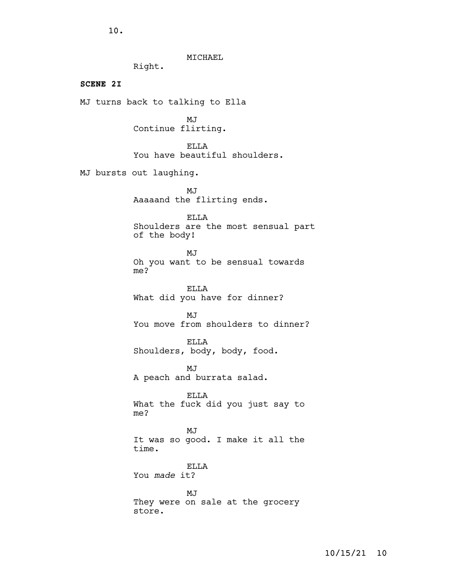10.

## MICHAEL

Right.

## **SCENE 2I**

MJ turns back to talking to Ella

MJ Continue flirting.

ELLA You have beautiful shoulders.

MJ bursts out laughing.

MJ<sub>D</sub> Aaaaand the flirting ends.

ELLA Shoulders are the most sensual part of the body!

MJ<sub>D</sub> Oh you want to be sensual towards me?

ELLA What did you have for dinner?

MJ You move from shoulders to dinner?

ELLA Shoulders, body, body, food.

MJ A peach and burrata salad.

ELLA What the fuck did you just say to me?

MJ It was so good. I make it all the time.

ELLA You *made* it?

MJ They were on sale at the grocery store.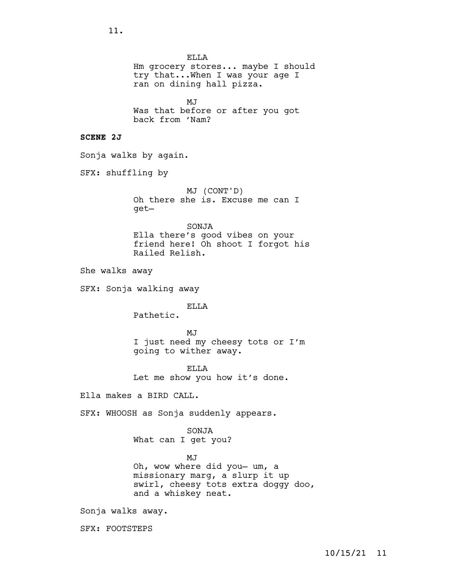ELLA Hm grocery stores... maybe I should try that...When I was your age I ran on dining hall pizza. MJ Was that before or after you got back from 'Nam? **SCENE 2J** Sonja walks by again. SFX: shuffling by MJ (CONT'D) Oh there she is. Excuse me can I get— SONJA Ella there's good vibes on your friend here! Oh shoot I forgot his Railed Relish. She walks away SFX: Sonja walking away ELLA Pathetic. MJ I just need my cheesy tots or I'm going to wither away. ELLA Let me show you how it's done. Ella makes a BIRD CALL. SFX: WHOOSH as Sonja suddenly appears. SONJA What can I get you? MJ Oh, wow where did you— um, a missionary marg, a slurp it up swirl, cheesy tots extra doggy doo, and a whiskey neat. Sonja walks away. SFX: FOOTSTEPS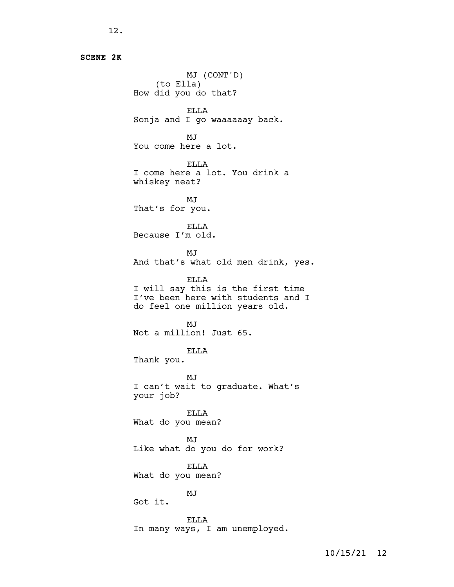MJ (CONT'D) (to Ella) How did you do that? ELLA Sonja and I go waaaaaay back. MJ You come here a lot. ELLA I come here a lot. You drink a whiskey neat? MJ That's for you. ELLA Because I'm old. MJ And that's what old men drink, yes. ELLA I will say this is the first time I've been here with students and I do feel one million years old. MJ Not a million! Just 65. ELLA Thank you. MJ I can't wait to graduate. What's your job? ELLA What do you mean? MJ Like what do you do for work? ELLA What do you mean? MJ Got it. ELLA

12.

**SCENE 2K**

In many ways, I am unemployed.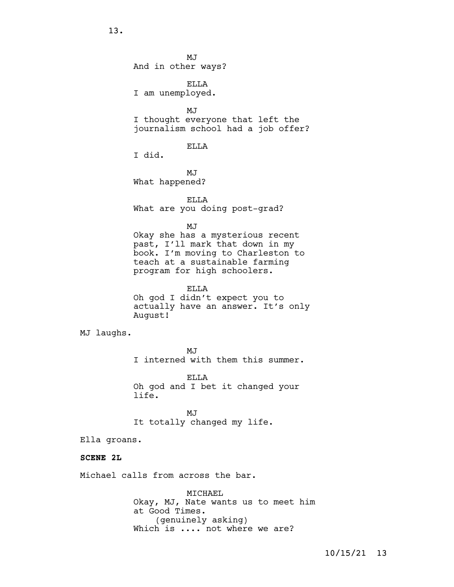MJ And in other ways? ELLA I am unemployed. MJ I thought everyone that left the journalism school had a job offer? ELLA I did. MJ<sub>J</sub> What happened? ELLA What are you doing post-grad? MJ Okay she has a mysterious recent past, I'll mark that down in my book. I'm moving to Charleston to teach at a sustainable farming program for high schoolers. ELLA Oh god I didn't expect you to

actually have an answer. It's only August!

MJ laughs.

MJ I interned with them this summer.

ELLA Oh god and I bet it changed your life.

MJ It totally changed my life.

Ella groans.

## **SCENE 2L**

Michael calls from across the bar.

MICHAEL Okay, MJ, Nate wants us to meet him at Good Times. (genuinely asking) Which is .... not where we are?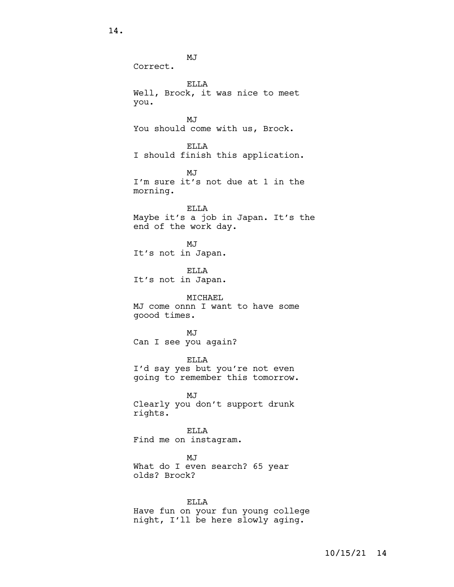MJ Correct. ELLA Well, Brock, it was nice to meet you. MJ You should come with us, Brock. ELLA I should finish this application. MJ<sub>D</sub> I'm sure it's not due at 1 in the morning. ELLA Maybe it's a job in Japan. It's the end of the work day. MJ It's not in Japan. ELLA It's not in Japan. MICHAEL MJ come onnn I want to have some goood times. MJ Can I see you again? ELLA I'd say yes but you're not even going to remember this tomorrow. MJ Clearly you don't support drunk rights. ELLA Find me on instagram. MJ What do I even search? 65 year olds? Brock? ELLA Have fun on your fun young college

night, I'll be here slowly aging.

10/15/21 14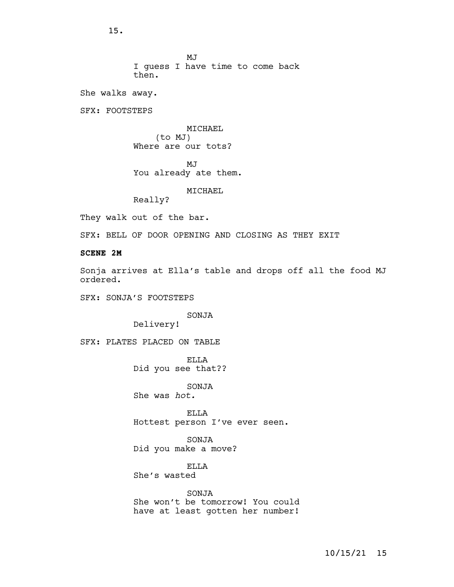MJ I guess I have time to come back then.

She walks away.

SFX: FOOTSTEPS

MICHAEL (to MJ) Where are our tots?

MJ You already ate them.

MICHAEL

Really?

They walk out of the bar.

SFX: BELL OF DOOR OPENING AND CLOSING AS THEY EXIT

**SCENE 2M**

Sonja arrives at Ella's table and drops off all the food MJ ordered.

SFX: SONJA'S FOOTSTEPS

SONJA

Delivery!

SFX: PLATES PLACED ON TABLE

ELLA Did you see that??

SONJA She was *hot.*

ELLA Hottest person I've ever seen.

SONJA Did you make a move?

ELLA She's wasted

SONJA She won't be tomorrow! You could have at least gotten her number!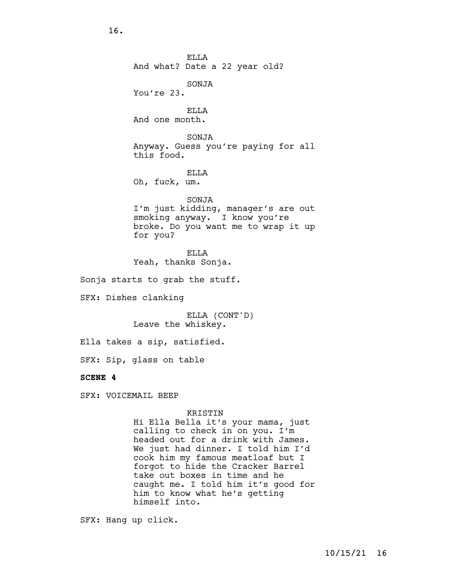ELLA And what? Date a 22 year old?

SONJA

You're 23.

ELLA And one month.

SONJA Anyway. Guess you're paying for all this food.

ELLA Oh, fuck, um.

#### SONJA

I'm just kidding, manager's are out smoking anyway. I know you're broke. Do you want me to wrap it up for you?

ELLA

Yeah, thanks Sonja.

Sonja starts to grab the stuff.

SFX: Dishes clanking

ELLA (CONT'D) Leave the whiskey.

Ella takes a sip, satisfied.

SFX: Sip, glass on table

#### **SCENE 4**

SFX: VOICEMAIL BEEP

#### KRISTIN

Hi Ella Bella it's your mama, just calling to check in on you. I'm headed out for a drink with James. We just had dinner. I told him I'd cook him my famous meatloaf but I forgot to hide the Cracker Barrel take out boxes in time and he caught me. I told him it's good for him to know what he's getting himself into.

SFX: Hang up click.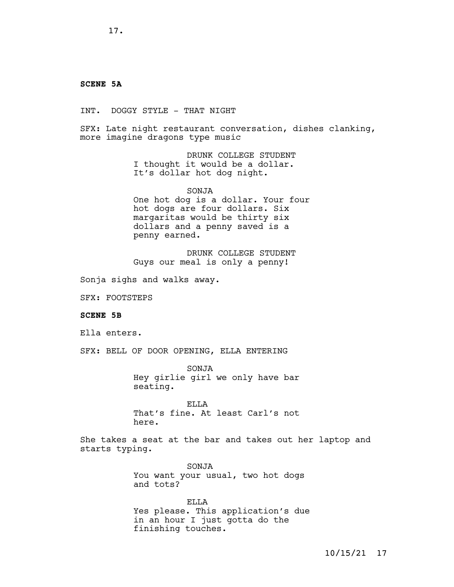17.

#### **SCENE 5A**

INT. DOGGY STYLE - THAT NIGHT

SFX: Late night restaurant conversation, dishes clanking, more imagine dragons type music

> DRUNK COLLEGE STUDENT I thought it would be a dollar. It's dollar hot dog night.

> > SONJA

One hot dog is a dollar. Your four hot dogs are four dollars. Six margaritas would be thirty six dollars and a penny saved is a penny earned.

DRUNK COLLEGE STUDENT Guys our meal is only a penny!

Sonja sighs and walks away.

SFX: FOOTSTEPS

#### **SCENE 5B**

Ella enters.

SFX: BELL OF DOOR OPENING, ELLA ENTERING

SONJA Hey girlie girl we only have bar seating.

ELLA That's fine. At least Carl's not here.

She takes a seat at the bar and takes out her laptop and starts typing.

> SONJA You want your usual, two hot dogs and tots?

ELLA Yes please. This application's due in an hour I just gotta do the finishing touches.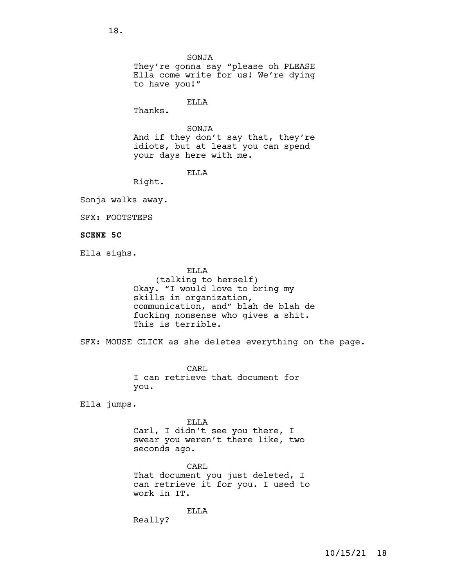SONJA They're gonna say "please oh PLEASE Ella come write for us! We're dying to have you!"

## ELLA

Thanks.

#### SONJA

And if they don't say that, they're idiots, but at least you can spend your days here with me.

ELLA

Right.

Sonja walks away.

SFX: FOOTSTEPS

#### **SCENE 5C**

Ella sighs.

ELLA (talking to herself) Okay. "I would love to bring my skills in organization, communication, and" blah de blah de fucking nonsense who gives a shit. This is terrible.

SFX: MOUSE CLICK as she deletes everything on the page.

CARL I can retrieve that document for you.

Ella jumps.

#### ELLA

Carl, I didn't see you there, I swear you weren't there like, two seconds ago.

CARL That document you just deleted, I can retrieve it for you. I used to work in IT.

ELLA Really?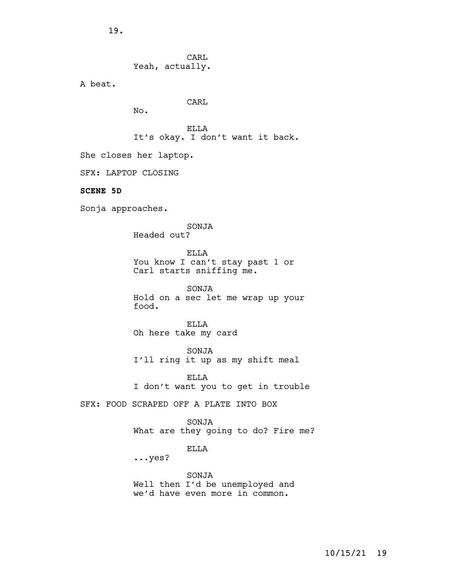19.

CARL Yeah, actually.

A beat.

CARL

No.

ELLA It's okay. I don't want it back.

She closes her laptop.

SFX: LAPTOP CLOSING

## **SCENE 5D**

Sonja approaches.

# SONJA

Headed out?

ELLA You know I can't stay past 1 or Carl starts sniffing me.

SONJA Hold on a sec let me wrap up your food.

ELLA Oh here take my card

SONJA I'll ring it up as my shift meal

ELLA I don't want you to get in trouble

SFX: FOOD SCRAPED OFF A PLATE INTO BOX

SONJA What are they going to do? Fire me?

## ELLA

...yes?

SONJA Well then I'd be unemployed and we'd have even more in common.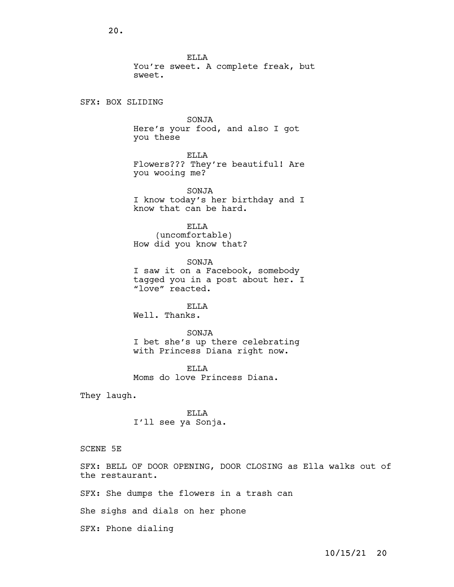SFX: BOX SLIDING

SONJA Here's your food, and also I got you these

ELLA

Flowers??? They're beautiful! Are you wooing me?

SONJA I know today's her birthday and I know that can be hard.

ELLA (uncomfortable) How did you know that?

SONJA I saw it on a Facebook, somebody tagged you in a post about her. I "love" reacted.

ELLA Well. Thanks.

SONJA I bet she's up there celebrating with Princess Diana right now.

ELLA Moms do love Princess Diana.

They laugh.

ELLA I'll see ya Sonja.

SCENE 5E

SFX: BELL OF DOOR OPENING, DOOR CLOSING as Ella walks out of the restaurant.

SFX: She dumps the flowers in a trash can

She sighs and dials on her phone

SFX: Phone dialing